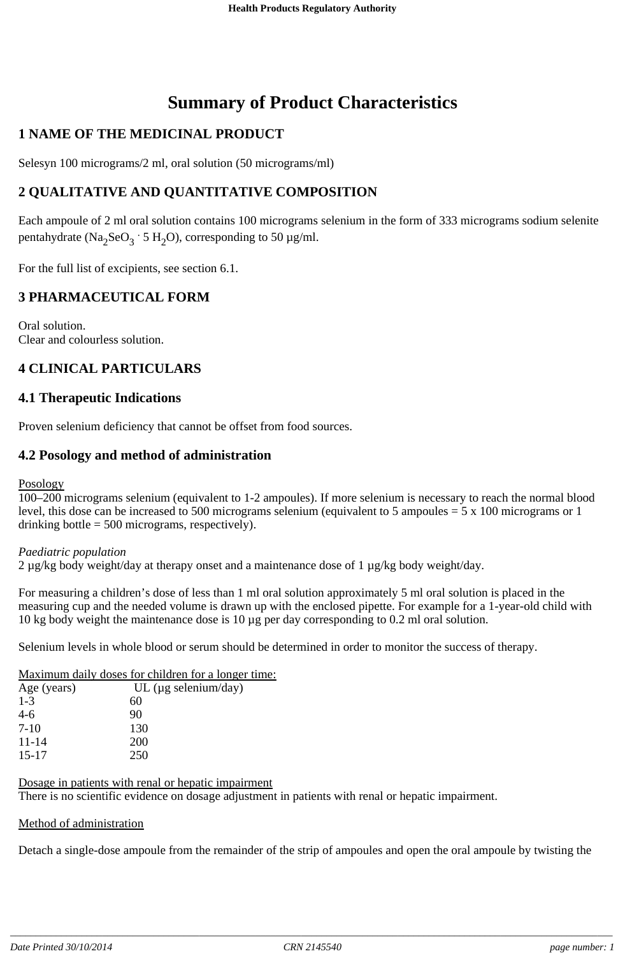# **Summary of Product Characteristics**

# **1 NAME OF THE MEDICINAL PRODUCT**

Selesyn 100 micrograms/2 ml, oral solution (50 micrograms/ml)

# **2 QUALITATIVE AND QUANTITATIVE COMPOSITION**

Each ampoule of 2 ml oral solution contains 100 micrograms selenium in the form of 333 micrograms sodium selenite pentahydrate (Na<sub>2</sub>SeO<sub>3</sub> · 5 H<sub>2</sub>O), corresponding to 50 µg/ml.

For the full list of excipients, see section 6.1.

### **3 PHARMACEUTICAL FORM**

Oral solution. Clear and colourless solution.

# **4 CLINICAL PARTICULARS**

#### **4.1 Therapeutic Indications**

Proven selenium deficiency that cannot be offset from food sources.

#### **4.2 Posology and method of administration**

Posology

100–200 micrograms selenium (equivalent to 1-2 ampoules). If more selenium is necessary to reach the normal blood level, this dose can be increased to 500 micrograms selenium (equivalent to 5 ampoules = 5 x 100 micrograms or 1 drinking bottle  $= 500$  micrograms, respectively).

#### *Paediatric population*

2 µg/kg body weight/day at therapy onset and a maintenance dose of 1 µg/kg body weight/day.

For measuring a children's dose of less than 1 ml oral solution approximately 5 ml oral solution is placed in the measuring cup and the needed volume is drawn up with the enclosed pipette. For example for a 1-year-old child with 10 kg body weight the maintenance dose is 10 µg per day corresponding to 0.2 ml oral solution.

Selenium levels in whole blood or serum should be determined in order to monitor the success of therapy.

| Maximum daily doses for children for a longer time: |  |
|-----------------------------------------------------|--|
|                                                     |  |

| Age (years) | UL ( $\mu$ g selenium/day) |  |
|-------------|----------------------------|--|
| $1 - 3$     | 60                         |  |
| $4-6$       | 90                         |  |
| $7-10$      | 130                        |  |
| $11 - 14$   | 200                        |  |
| $15 - 17$   | 250                        |  |

#### Dosage in patients with renal or hepatic impairment

There is no scientific evidence on dosage adjustment in patients with renal or hepatic impairment.

#### Method of administration

Detach a single-dose ampoule from the remainder of the strip of ampoules and open the oral ampoule by twisting the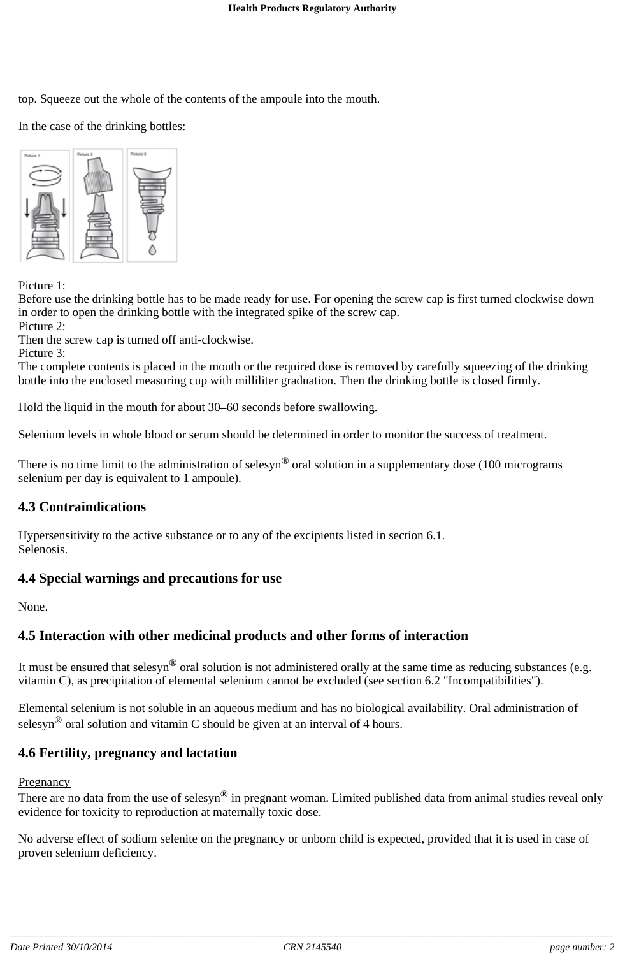top. Squeeze out the whole of the contents of the ampoule into the mouth.

In the case of the drinking bottles:



Picture 1:

Before use the drinking bottle has to be made ready for use. For opening the screw cap is first turned clockwise down in order to open the drinking bottle with the integrated spike of the screw cap. Picture 2:

Then the screw cap is turned off anti-clockwise.

Picture 3:

The complete contents is placed in the mouth or the required dose is removed by carefully squeezing of the drinking bottle into the enclosed measuring cup with milliliter graduation. Then the drinking bottle is closed firmly.

Hold the liquid in the mouth for about 30–60 seconds before swallowing.

Selenium levels in whole blood or serum should be determined in order to monitor the success of treatment.

There is no time limit to the administration of selesyn<sup>®</sup> oral solution in a supplementary dose (100 micrograms selenium per day is equivalent to 1 ampoule).

# **4.3 Contraindications**

Hypersensitivity to the active substance or to any of the excipients listed in section 6.1. Selenosis.

# **4.4 Special warnings and precautions for use**

None.

# **4.5 Interaction with other medicinal products and other forms of interaction**

It must be ensured that selesyn<sup>®</sup> oral solution is not administered orally at the same time as reducing substances (e.g. vitamin C), as precipitation of elemental selenium cannot be excluded (see section 6.2 "Incompatibilities").

Elemental selenium is not soluble in an aqueous medium and has no biological availability. Oral administration of selesyn<sup>®</sup> oral solution and vitamin C should be given at an interval of 4 hours.

# **4.6 Fertility, pregnancy and lactation**

#### **Pregnancy**

There are no data from the use of selesyn<sup>®</sup> in pregnant woman. Limited published data from animal studies reveal only evidence for toxicity to reproduction at maternally toxic dose.

No adverse effect of sodium selenite on the pregnancy or unborn child is expected, provided that it is used in case of proven selenium deficiency.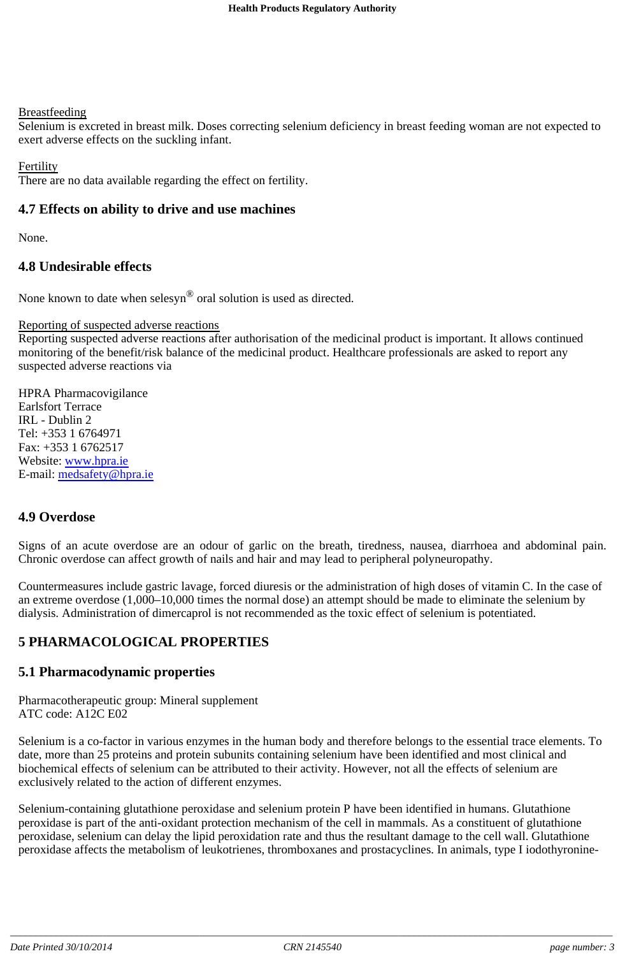#### Breastfeeding

Selenium is excreted in breast milk. Doses correcting selenium deficiency in breast feeding woman are not expected to exert adverse effects on the suckling infant.

#### Fertility

There are no data available regarding the effect on fertility.

#### **4.7 Effects on ability to drive and use machines**

None.

### **4.8 Undesirable effects**

None known to date when selesyn® oral solution is used as directed.

### Reporting of suspected adverse reactions

Reporting suspected adverse reactions after authorisation of the medicinal product is important. It allows continued monitoring of the benefit/risk balance of the medicinal product. Healthcare professionals are asked to report any suspected adverse reactions via

HPRA Pharmacovigilance Earlsfort Terrace IRL - Dublin 2 Tel: +353 1 6764971 Fax: +353 1 6762517 Website: www.hpra.ie E-mail: medsafety@hpra.ie

#### **4.9 Overdose**

Signs of an acute overdose are an odour of garlic on the breath, tiredness, nausea, diarrhoea and abdominal pain. Chronic overdose can affect growth of nails and hair and may lead to peripheral polyneuropathy.

Countermeasures include gastric lavage, forced diuresis or the administration of high doses of vitamin C. In the case of an extreme overdose (1,000–10,000 times the normal dose) an attempt should be made to eliminate the selenium by dialysis. Administration of dimercaprol is not recommended as the toxic effect of selenium is potentiated.

# **5 PHARMACOLOGICAL PROPERTIES**

#### **5.1 Pharmacodynamic properties**

Pharmacotherapeutic group: Mineral supplement ATC code: A12C E02

Selenium is a co-factor in various enzymes in the human body and therefore belongs to the essential trace elements. To date, more than 25 proteins and protein subunits containing selenium have been identified and most clinical and biochemical effects of selenium can be attributed to their activity. However, not all the effects of selenium are exclusively related to the action of different enzymes.

Selenium-containing glutathione peroxidase and selenium protein P have been identified in humans. Glutathione peroxidase is part of the anti-oxidant protection mechanism of the cell in mammals. As a constituent of glutathione peroxidase, selenium can delay the lipid peroxidation rate and thus the resultant damage to the cell wall. Glutathione peroxidase affects the metabolism of leukotrienes, thromboxanes and prostacyclines. In animals, type I iodothyronine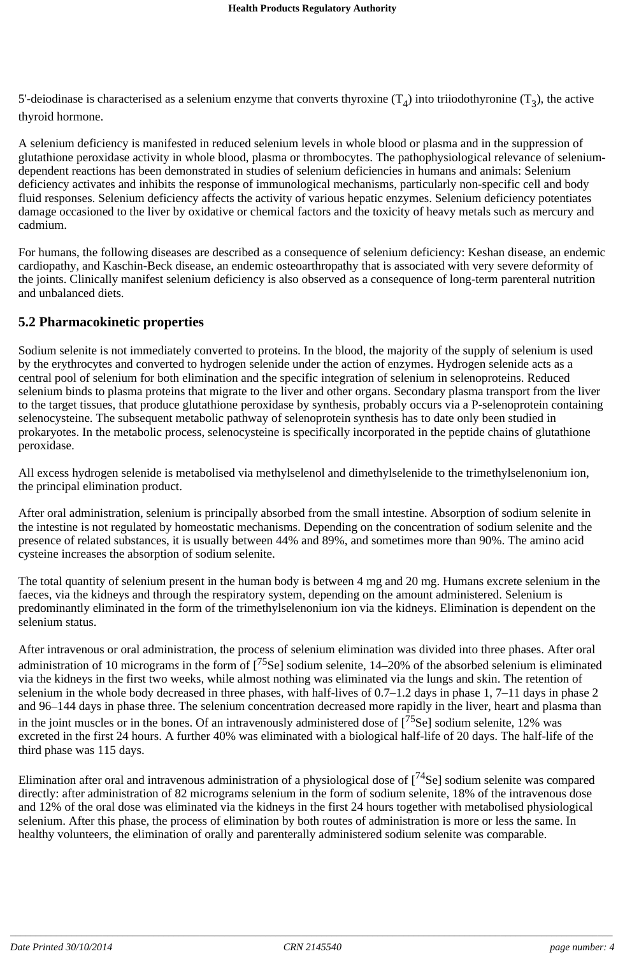5'-deiodinase is characterised as a selenium enzyme that converts thyroxine  $(T_4)$  into triiodothyronine  $(T_3)$ , the active thyroid hormone.

A selenium deficiency is manifested in reduced selenium levels in whole blood or plasma and in the suppression of glutathione peroxidase activity in whole blood, plasma or thrombocytes. The pathophysiological relevance of seleniumdependent reactions has been demonstrated in studies of selenium deficiencies in humans and animals: Selenium deficiency activates and inhibits the response of immunological mechanisms, particularly non-specific cell and body fluid responses. Selenium deficiency affects the activity of various hepatic enzymes. Selenium deficiency potentiates damage occasioned to the liver by oxidative or chemical factors and the toxicity of heavy metals such as mercury and cadmium.

For humans, the following diseases are described as a consequence of selenium deficiency: Keshan disease, an endemic cardiopathy, and Kaschin-Beck disease, an endemic osteoarthropathy that is associated with very severe deformity of the joints. Clinically manifest selenium deficiency is also observed as a consequence of long-term parenteral nutrition and unbalanced diets.

#### **5.2 Pharmacokinetic properties**

Sodium selenite is not immediately converted to proteins. In the blood, the majority of the supply of selenium is used by the erythrocytes and converted to hydrogen selenide under the action of enzymes. Hydrogen selenide acts as a central pool of selenium for both elimination and the specific integration of selenium in selenoproteins. Reduced selenium binds to plasma proteins that migrate to the liver and other organs. Secondary plasma transport from the liver to the target tissues, that produce glutathione peroxidase by synthesis, probably occurs via a P-selenoprotein containing selenocysteine. The subsequent metabolic pathway of selenoprotein synthesis has to date only been studied in prokaryotes. In the metabolic process, selenocysteine is specifically incorporated in the peptide chains of glutathione peroxidase.

All excess hydrogen selenide is metabolised via methylselenol and dimethylselenide to the trimethylselenonium ion, the principal elimination product.

After oral administration, selenium is principally absorbed from the small intestine. Absorption of sodium selenite in the intestine is not regulated by homeostatic mechanisms. Depending on the concentration of sodium selenite and the presence of related substances, it is usually between 44% and 89%, and sometimes more than 90%. The amino acid cysteine increases the absorption of sodium selenite.

The total quantity of selenium present in the human body is between 4 mg and 20 mg. Humans excrete selenium in the faeces, via the kidneys and through the respiratory system, depending on the amount administered. Selenium is predominantly eliminated in the form of the trimethylselenonium ion via the kidneys. Elimination is dependent on the selenium status.

After intravenous or oral administration, the process of selenium elimination was divided into three phases. After oral administration of 10 micrograms in the form of [<sup>75</sup>Se] sodium selenite, 14–20% of the absorbed selenium is eliminated via the kidneys in the first two weeks, while almost nothing was eliminated via the lungs and skin. The retention of selenium in the whole body decreased in three phases, with half-lives of 0.7–1.2 days in phase 1, 7–11 days in phase 2 and 96–144 days in phase three. The selenium concentration decreased more rapidly in the liver, heart and plasma than in the joint muscles or in the bones. Of an intravenously administered dose of  $[<sup>75</sup>Se]$  sodium selenite, 12% was excreted in the first 24 hours. A further 40% was eliminated with a biological half-life of 20 days. The half-life of the third phase was 115 days.

Elimination after oral and intravenous administration of a physiological dose of  $[74$ Se] sodium selenite was compared directly: after administration of 82 microgram*s* selenium in the form of sodium selenite, 18% of the intravenous dose and 12% of the oral dose was eliminated via the kidneys in the first 24 hours together with metabolised physiological selenium. After this phase, the process of elimination by both routes of administration is more or less the same. In healthy volunteers, the elimination of orally and parenterally administered sodium selenite was comparable.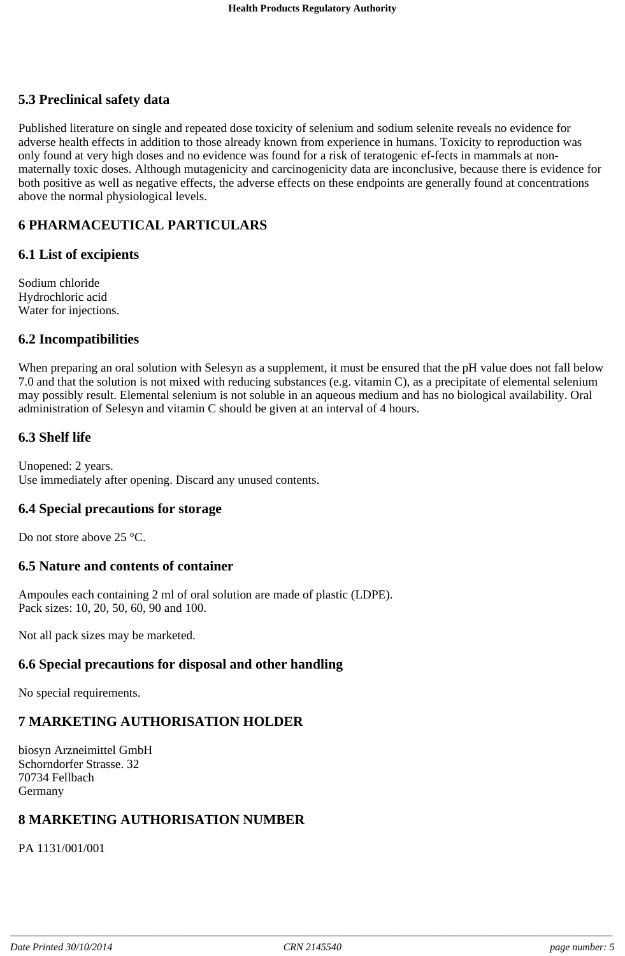# **5.3 Preclinical safety data**

Published literature on single and repeated dose toxicity of selenium and sodium selenite reveals no evidence for adverse health effects in addition to those already known from experience in humans. Toxicity to reproduction was only found at very high doses and no evidence was found for a risk of teratogenic ef-fects in mammals at nonmaternally toxic doses. Although mutagenicity and carcinogenicity data are inconclusive, because there is evidence for both positive as well as negative effects, the adverse effects on these endpoints are generally found at concentrations above the normal physiological levels.

# **6 PHARMACEUTICAL PARTICULARS**

#### **6.1 List of excipients**

Sodium chloride Hydrochloric acid Water for injections.

#### **6.2 Incompatibilities**

When preparing an oral solution with Selesyn as a supplement, it must be ensured that the pH value does not fall below 7.0 and that the solution is not mixed with reducing substances (e.g. vitamin C), as a precipitate of elemental selenium may possibly result. Elemental selenium is not soluble in an aqueous medium and has no biological availability. Oral administration of Selesyn and vitamin C should be given at an interval of 4 hours.

### **6.3 Shelf life**

Unopened: 2 years. Use immediately after opening. Discard any unused contents.

#### **6.4 Special precautions for storage**

Do not store above 25 °C.

#### **6.5 Nature and contents of container**

Ampoules each containing 2 ml of oral solution are made of plastic (LDPE). Pack sizes: 10, 20, 50, 60, 90 and 100.

Not all pack sizes may be marketed.

#### **6.6 Special precautions for disposal and other handling**

No special requirements.

# **7 MARKETING AUTHORISATION HOLDER**

biosyn Arzneimittel GmbH Schorndorfer Strasse. 32 70734 Fellbach Germany

# **8 MARKETING AUTHORISATION NUMBER**

PA 1131/001/001